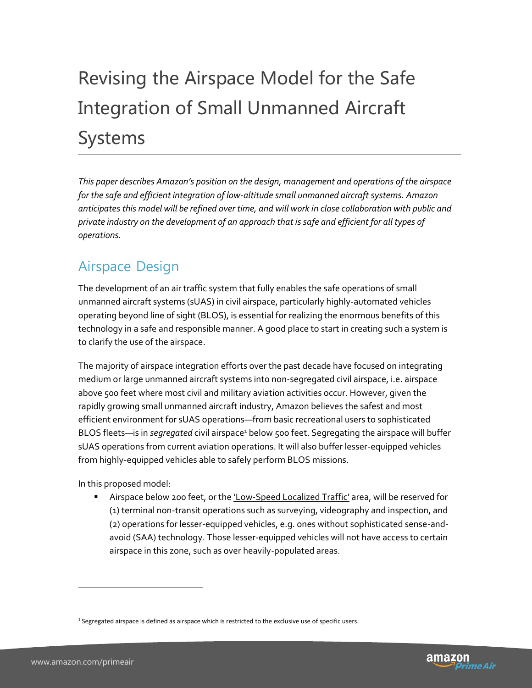# Revising the Airspace Model for the Safe Integration of Small Unmanned Aircraft Systems

*This paper describes Amazon's position on the design, management and operations of the airspace for the safe and efficient integration of low-altitude small unmanned aircraft systems. Amazon anticipates this model will be refined over time, and will work in close collaboration with public and private industry on the development of an approach that is safe and efficient for all types of operations.*

## Airspace Design

The development of an air traffic system that fully enables the safe operations of small unmanned aircraft systems (sUAS) in civil airspace, particularly highly-automated vehicles operating beyond line of sight (BLOS), is essential for realizing the enormous benefits of this technology in a safe and responsible manner. A good place to start in creating such a system is to clarify the use of the airspace.

The majority of airspace integration efforts over the past decade have focused on integrating medium or large unmanned aircraft systems into non-segregated civil airspace, i.e. airspace above 500 feet where most civil and military aviation activities occur. However, given the rapidly growing small unmanned aircraft industry, Amazon believes the safest and most efficient environment for sUAS operations—from basic recreational users to sophisticated BLOS fleets—is in *segregated* civil airspace<sup>1</sup> below 500 feet. Segregating the airspace will buffer sUAS operations from current aviation operations. It will also buffer lesser-equipped vehicles from highly-equipped vehicles able to safely perform BLOS missions.

In this proposed model:

Airspace below 200 feet, or the *'Low-Speed Localized Traffic'* area, will be reserved for (1) terminal non-transit operations such as surveying, videography and inspection, and (2) operations for lesser-equipped vehicles, e.g. ones without sophisticated sense-andavoid (SAA) technology. Those lesser-equipped vehicles will not have access to certain airspace in this zone, such as over heavily-populated areas.

 $\overline{a}$ 



<sup>&</sup>lt;sup>1</sup> Segregated airspace is defined as airspace which is restricted to the exclusive use of specific users.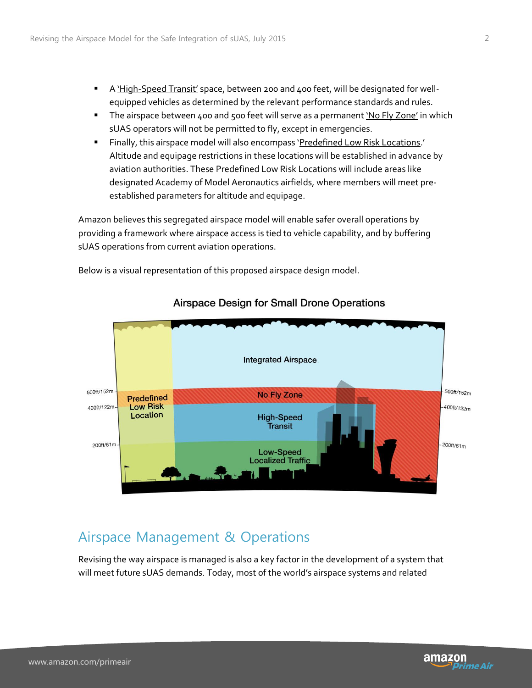- **A** 'High-Speed Transit' space, between 200 and 400 feet, will be designated for wellequipped vehicles as determined by the relevant performance standards and rules.
- The airspace between 400 and 500 feet will serve as a permanent 'No Fly Zone' in which sUAS operators will not be permitted to fly, except in emergencies.
- Finally, this airspace model will also encompass 'Predefined Low Risk Locations.' Altitude and equipage restrictions in these locations will be established in advance by aviation authorities. These Predefined Low Risk Locations will include areas like designated Academy of Model Aeronautics airfields, where members will meet preestablished parameters for altitude and equipage.

Amazon believes this segregated airspace model will enable safer overall operations by providing a framework where airspace access is tied to vehicle capability, and by buffering sUAS operations from current aviation operations.

Below is a visual representation of this proposed airspace design model.



#### **Airspace Design for Small Drone Operations**

## Airspace Management & Operations

Revising the way airspace is managed is also a key factor in the development of a system that will meet future sUAS demands. Today, most of the world's airspace systems and related

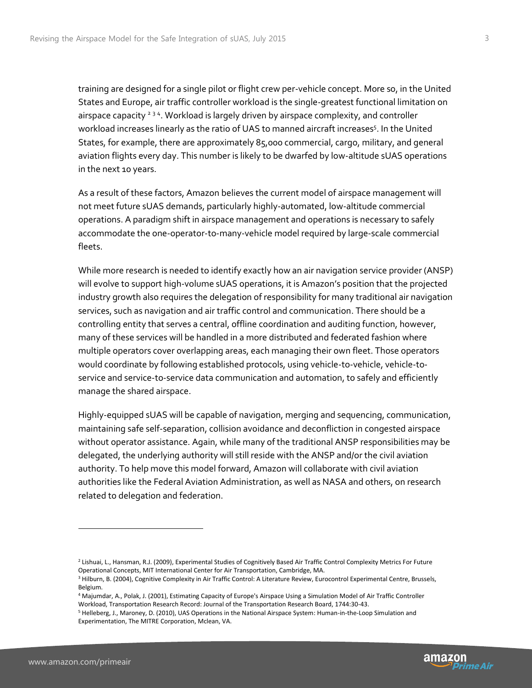training are designed for a single pilot or flight crew per-vehicle concept. More so, in the United States and Europe, air traffic controller workload is the single-greatest functional limitation on airspace capacity<sup>234</sup>. Workload is largely driven by airspace complexity, and controller workload increases linearly as the ratio of UAS to manned aircraft increases<sup>5</sup>. In the United States, for example, there are approximately 85,000 commercial, cargo, military, and general aviation flights every day. This number is likely to be dwarfed by low-altitude sUAS operations in the next 10 years.

As a result of these factors, Amazon believes the current model of airspace management will not meet future sUAS demands, particularly highly-automated, low-altitude commercial operations. A paradigm shift in airspace management and operations is necessary to safely accommodate the one-operator-to-many-vehicle model required by large-scale commercial fleets.

While more research is needed to identify exactly how an air navigation service provider (ANSP) will evolve to support high-volume sUAS operations, it is Amazon's position that the projected industry growth also requires the delegation of responsibility for many traditional air navigation services, such as navigation and air traffic control and communication. There should be a controlling entity that serves a central, offline coordination and auditing function, however, many of these services will be handled in a more distributed and federated fashion where multiple operators cover overlapping areas, each managing their own fleet. Those operators would coordinate by following established protocols, using vehicle-to-vehicle, vehicle-toservice and service-to-service data communication and automation, to safely and efficiently manage the shared airspace.

Highly-equipped sUAS will be capable of navigation, merging and sequencing, communication, maintaining safe self-separation, collision avoidance and deconfliction in congested airspace without operator assistance. Again, while many of the traditional ANSP responsibilities may be delegated, the underlying authority will still reside with the ANSP and/or the civil aviation authority. To help move this model forward, Amazon will collaborate with civil aviation authorities like the Federal Aviation Administration, as well as NASA and others, on research related to delegation and federation.



l

<sup>&</sup>lt;sup>2</sup> Lishuai, L., Hansman, R.J. (2009), Experimental Studies of Cognitively Based Air Traffic Control Complexity Metrics For Future Operational Concepts, MIT International Center for Air Transportation, Cambridge, MA.

<sup>&</sup>lt;sup>3</sup> Hilburn, B. (2004), Cognitive Complexity in Air Traffic Control: A Literature Review, Eurocontrol Experimental Centre, Brussels, Belgium.

<sup>4</sup> Majumdar, A., Polak, J. (2001), Estimating Capacity of Europe's Airspace Using a Simulation Model of Air Traffic Controller Workload, Transportation Research Record: Journal of the Transportation Research Board, 1744:30-43.

<sup>5</sup> Helleberg, J., Maroney, D. (2010), UAS Operations in the National Airspace System: Human-in-the-Loop Simulation and Experimentation, The MITRE Corporation, Mclean, VA.